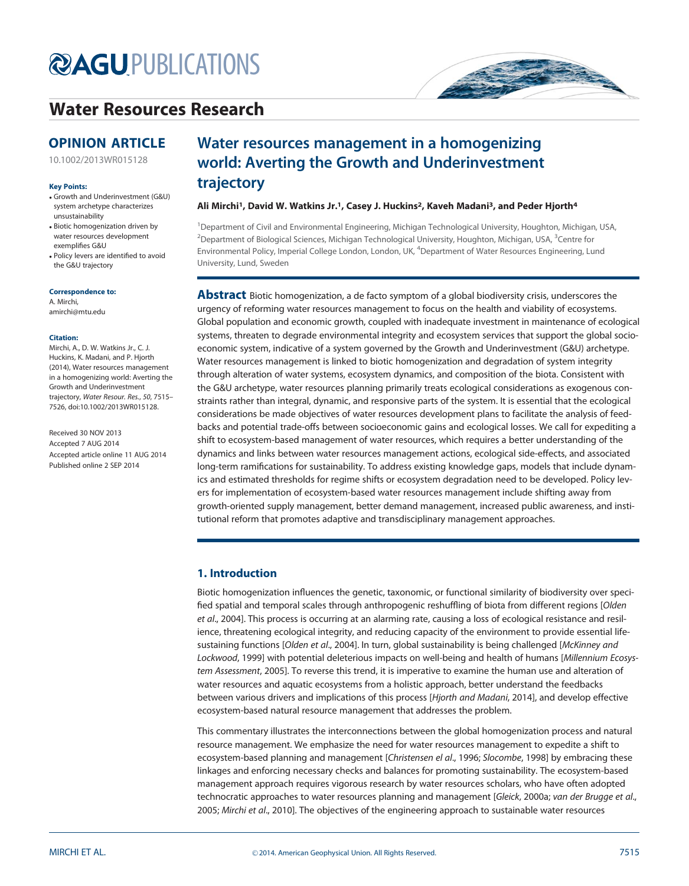# **@AGU[PUBLICATIONS](http://publications.agu.org/)**

## [Water Resources Research](http://onlinelibrary.wiley.com/journal/10.1002/(ISSN)1944-7973/)

### OPINION ARTICLE

[10.1002/2013WR015128](http://dx.doi.org/10.1002/2013WR015128)

#### Key Points:

- Growth and Underinvestment (G&U) system archetype characterizes unsustainability
- Biotic homogenization driven by water resources development exemplifies G&U
- Policy levers are identified to avoid the G&U trajectory

#### Correspondence to:

A. Mirchi, amirchi@mtu.edu

#### Citation:

Mirchi, A., D. W. Watkins Jr., C. J. Huckins, K. Madani, and P. Hjorth (2014), Water resources management in a homogenizing world: Averting the Growth and Underinvestment trajectory, Water Resour. Res., 50, 7515– 7526, doi:10.1002/2013WR015128.

Received 30 NOV 2013 Accepted 7 AUG 2014 Accepted article online 11 AUG 2014 Published online 2 SEP 2014

## Water resources management in a homogenizing world: Averting the Growth and Underinvestment trajectory

#### Ali Mirchi<sup>1</sup>, David W. Watkins Jr.<sup>1</sup>, Casey J. Huckins<sup>2</sup>, Kaveh Madani<sup>3</sup>, and Peder Hjorth<sup>4</sup>

<sup>1</sup>Department of Civil and Environmental Engineering, Michigan Technological University, Houghton, Michigan, USA,  $^2$ Department of Biological Sciences, Michigan Technological University, Houghton, Michigan, USA,  $^3$ Centre for Environmental Policy, Imperial College London, London, UK, <sup>4</sup>Department of Water Resources Engineering, Lund University, Lund, Sweden

Abstract Biotic homogenization, a de facto symptom of a global biodiversity crisis, underscores the urgency of reforming water resources management to focus on the health and viability of ecosystems. Global population and economic growth, coupled with inadequate investment in maintenance of ecological systems, threaten to degrade environmental integrity and ecosystem services that support the global socioeconomic system, indicative of a system governed by the Growth and Underinvestment (G&U) archetype. Water resources management is linked to biotic homogenization and degradation of system integrity through alteration of water systems, ecosystem dynamics, and composition of the biota. Consistent with the G&U archetype, water resources planning primarily treats ecological considerations as exogenous constraints rather than integral, dynamic, and responsive parts of the system. It is essential that the ecological considerations be made objectives of water resources development plans to facilitate the analysis of feedbacks and potential trade-offs between socioeconomic gains and ecological losses. We call for expediting a shift to ecosystem-based management of water resources, which requires a better understanding of the dynamics and links between water resources management actions, ecological side-effects, and associated long-term ramifications for sustainability. To address existing knowledge gaps, models that include dynamics and estimated thresholds for regime shifts or ecosystem degradation need to be developed. Policy levers for implementation of ecosystem-based water resources management include shifting away from growth-oriented supply management, better demand management, increased public awareness, and institutional reform that promotes adaptive and transdisciplinary management approaches.

#### 1. Introduction

Biotic homogenization influences the genetic, taxonomic, or functional similarity of biodiversity over specified spatial and temporal scales through anthropogenic reshuffling of biota from different regions [Olden et al., 2004]. This process is occurring at an alarming rate, causing a loss of ecological resistance and resilience, threatening ecological integrity, and reducing capacity of the environment to provide essential lifesustaining functions [Olden et al., 2004]. In turn, global sustainability is being challenged [McKinney and Lockwood, 1999] with potential deleterious impacts on well-being and health of humans [Millennium Ecosystem Assessment, 2005]. To reverse this trend, it is imperative to examine the human use and alteration of water resources and aquatic ecosystems from a holistic approach, better understand the feedbacks between various drivers and implications of this process [Hjorth and Madani, 2014], and develop effective ecosystem-based natural resource management that addresses the problem.

This commentary illustrates the interconnections between the global homogenization process and natural resource management. We emphasize the need for water resources management to expedite a shift to ecosystem-based planning and management [Christensen el al., 1996; Slocombe, 1998] by embracing these linkages and enforcing necessary checks and balances for promoting sustainability. The ecosystem-based management approach requires vigorous research by water resources scholars, who have often adopted technocratic approaches to water resources planning and management [Gleick, 2000a; van der Brugge et al., 2005; Mirchi et al., 2010]. The objectives of the engineering approach to sustainable water resources

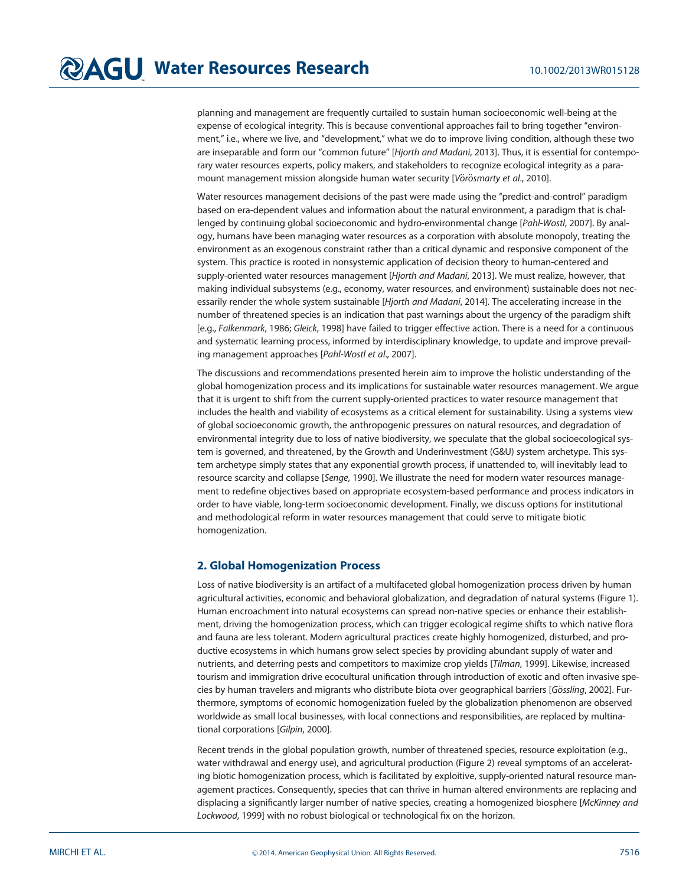planning and management are frequently curtailed to sustain human socioeconomic well-being at the expense of ecological integrity. This is because conventional approaches fail to bring together ''environment,'' i.e., where we live, and ''development,'' what we do to improve living condition, although these two are inseparable and form our "common future" [Hjorth and Madani, 2013]. Thus, it is essential for contemporary water resources experts, policy makers, and stakeholders to recognize ecological integrity as a paramount management mission alongside human water security [Vörösmarty et al., 2010].

Water resources management decisions of the past were made using the "predict-and-control" paradigm based on era-dependent values and information about the natural environment, a paradigm that is challenged by continuing global socioeconomic and hydro-environmental change [Pahl-Wostl, 2007]. By analogy, humans have been managing water resources as a corporation with absolute monopoly, treating the environment as an exogenous constraint rather than a critical dynamic and responsive component of the system. This practice is rooted in nonsystemic application of decision theory to human-centered and supply-oriented water resources management [Hjorth and Madani, 2013]. We must realize, however, that making individual subsystems (e.g., economy, water resources, and environment) sustainable does not necessarily render the whole system sustainable [Hjorth and Madani, 2014]. The accelerating increase in the number of threatened species is an indication that past warnings about the urgency of the paradigm shift [e.g., Falkenmark, 1986; Gleick, 1998] have failed to trigger effective action. There is a need for a continuous and systematic learning process, informed by interdisciplinary knowledge, to update and improve prevailing management approaches [Pahl-Wostl et al., 2007].

The discussions and recommendations presented herein aim to improve the holistic understanding of the global homogenization process and its implications for sustainable water resources management. We argue that it is urgent to shift from the current supply-oriented practices to water resource management that includes the health and viability of ecosystems as a critical element for sustainability. Using a systems view of global socioeconomic growth, the anthropogenic pressures on natural resources, and degradation of environmental integrity due to loss of native biodiversity, we speculate that the global socioecological system is governed, and threatened, by the Growth and Underinvestment (G&U) system archetype. This system archetype simply states that any exponential growth process, if unattended to, will inevitably lead to resource scarcity and collapse [Senge, 1990]. We illustrate the need for modern water resources management to redefine objectives based on appropriate ecosystem-based performance and process indicators in order to have viable, long-term socioeconomic development. Finally, we discuss options for institutional and methodological reform in water resources management that could serve to mitigate biotic homogenization.

#### 2. Global Homogenization Process

Loss of native biodiversity is an artifact of a multifaceted global homogenization process driven by human agricultural activities, economic and behavioral globalization, and degradation of natural systems (Figure 1). Human encroachment into natural ecosystems can spread non-native species or enhance their establishment, driving the homogenization process, which can trigger ecological regime shifts to which native flora and fauna are less tolerant. Modern agricultural practices create highly homogenized, disturbed, and productive ecosystems in which humans grow select species by providing abundant supply of water and nutrients, and deterring pests and competitors to maximize crop yields [Tilman, 1999]. Likewise, increased tourism and immigration drive ecocultural unification through introduction of exotic and often invasive species by human travelers and migrants who distribute biota over geographical barriers [Gössling, 2002]. Furthermore, symptoms of economic homogenization fueled by the globalization phenomenon are observed worldwide as small local businesses, with local connections and responsibilities, are replaced by multinational corporations [Gilpin, 2000].

Recent trends in the global population growth, number of threatened species, resource exploitation (e.g., water withdrawal and energy use), and agricultural production (Figure 2) reveal symptoms of an accelerating biotic homogenization process, which is facilitated by exploitive, supply-oriented natural resource management practices. Consequently, species that can thrive in human-altered environments are replacing and displacing a significantly larger number of native species, creating a homogenized biosphere [McKinney and Lockwood, 1999] with no robust biological or technological fix on the horizon.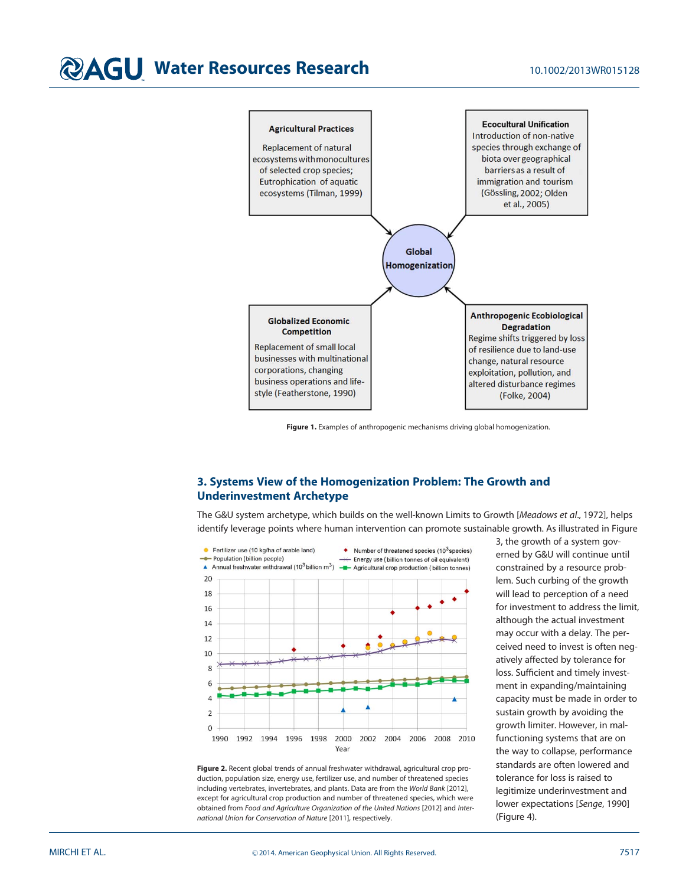# **@AGU Water Resources Research** 10.1002/2013WR015128



Figure 1. Examples of anthropogenic mechanisms driving global homogenization.

### 3. Systems View of the Homogenization Problem: The Growth and Underinvestment Archetype

The G&U system archetype, which builds on the well-known Limits to Growth [Meadows et al., 1972], helps identify leverage points where human intervention can promote sustainable growth. As illustrated in Figure



Figure 2. Recent global trends of annual freshwater withdrawal, agricultural crop production, population size, energy use, fertilizer use, and number of threatened species including vertebrates, invertebrates, and plants. Data are from the World Bank [2012], except for agricultural crop production and number of threatened species, which were obtained from Food and Agriculture Organization of the United Nations [2012] and International Union for Conservation of Nature [2011], respectively.

3, the growth of a system governed by G&U will continue until constrained by a resource problem. Such curbing of the growth will lead to perception of a need for investment to address the limit, although the actual investment may occur with a delay. The perceived need to invest is often negatively affected by tolerance for loss. Sufficient and timely investment in expanding/maintaining capacity must be made in order to sustain growth by avoiding the growth limiter. However, in malfunctioning systems that are on the way to collapse, performance standards are often lowered and tolerance for loss is raised to legitimize underinvestment and lower expectations [Senge, 1990] (Figure 4).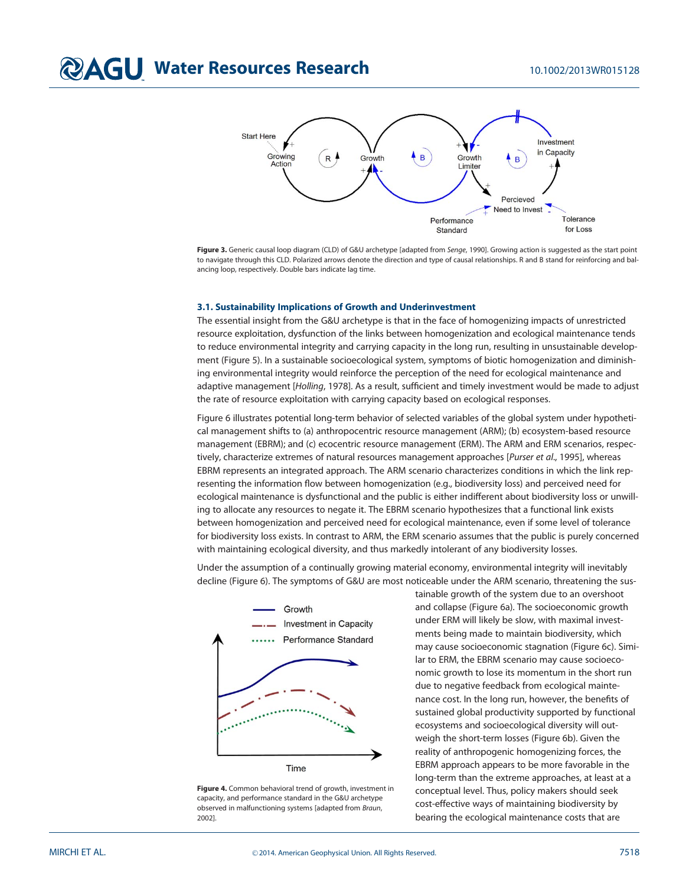

Figure 3. Generic causal loop diagram (CLD) of G&U archetype [adapted from Senge, 1990]. Growing action is suggested as the start point to navigate through this CLD. Polarized arrows denote the direction and type of causal relationships. R and B stand for reinforcing and balancing loop, respectively. Double bars indicate lag time.

#### 3.1. Sustainability Implications of Growth and Underinvestment

The essential insight from the G&U archetype is that in the face of homogenizing impacts of unrestricted resource exploitation, dysfunction of the links between homogenization and ecological maintenance tends to reduce environmental integrity and carrying capacity in the long run, resulting in unsustainable development (Figure 5). In a sustainable socioecological system, symptoms of biotic homogenization and diminishing environmental integrity would reinforce the perception of the need for ecological maintenance and adaptive management [Holling, 1978]. As a result, sufficient and timely investment would be made to adjust the rate of resource exploitation with carrying capacity based on ecological responses.

Figure 6 illustrates potential long-term behavior of selected variables of the global system under hypothetical management shifts to (a) anthropocentric resource management (ARM); (b) ecosystem-based resource management (EBRM); and (c) ecocentric resource management (ERM). The ARM and ERM scenarios, respectively, characterize extremes of natural resources management approaches [Purser et al., 1995], whereas EBRM represents an integrated approach. The ARM scenario characterizes conditions in which the link representing the information flow between homogenization (e.g., biodiversity loss) and perceived need for ecological maintenance is dysfunctional and the public is either indifferent about biodiversity loss or unwilling to allocate any resources to negate it. The EBRM scenario hypothesizes that a functional link exists between homogenization and perceived need for ecological maintenance, even if some level of tolerance for biodiversity loss exists. In contrast to ARM, the ERM scenario assumes that the public is purely concerned with maintaining ecological diversity, and thus markedly intolerant of any biodiversity losses.

Under the assumption of a continually growing material economy, environmental integrity will inevitably decline (Figure 6). The symptoms of G&U are most noticeable under the ARM scenario, threatening the sus-



Figure 4. Common behavioral trend of growth, investment in capacity, and performance standard in the G&U archetype observed in malfunctioning systems [adapted from Braun, 2002].

tainable growth of the system due to an overshoot and collapse (Figure 6a). The socioeconomic growth under ERM will likely be slow, with maximal investments being made to maintain biodiversity, which may cause socioeconomic stagnation (Figure 6c). Similar to ERM, the EBRM scenario may cause socioeconomic growth to lose its momentum in the short run due to negative feedback from ecological maintenance cost. In the long run, however, the benefits of sustained global productivity supported by functional ecosystems and socioecological diversity will outweigh the short-term losses (Figure 6b). Given the reality of anthropogenic homogenizing forces, the EBRM approach appears to be more favorable in the long-term than the extreme approaches, at least at a conceptual level. Thus, policy makers should seek cost-effective ways of maintaining biodiversity by bearing the ecological maintenance costs that are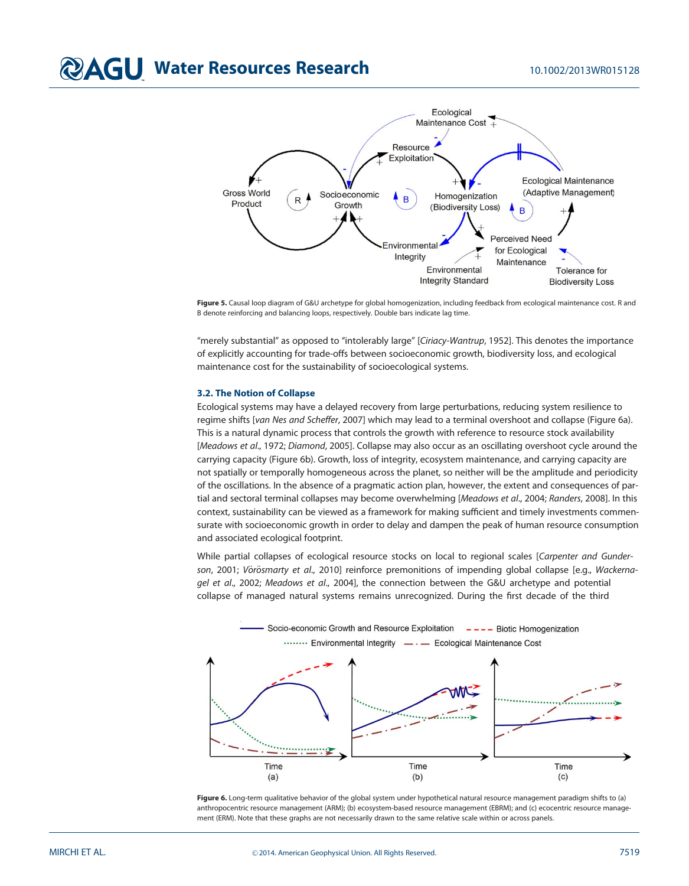

Figure 5. Causal loop diagram of G&U archetype for global homogenization, including feedback from ecological maintenance cost. R and B denote reinforcing and balancing loops, respectively. Double bars indicate lag time.

"merely substantial" as opposed to "intolerably large" [Ciriacy-Wantrup, 1952]. This denotes the importance of explicitly accounting for trade-offs between socioeconomic growth, biodiversity loss, and ecological maintenance cost for the sustainability of socioecological systems.

#### 3.2. The Notion of Collapse

Ecological systems may have a delayed recovery from large perturbations, reducing system resilience to regime shifts [van Nes and Scheffer, 2007] which may lead to a terminal overshoot and collapse (Figure 6a). This is a natural dynamic process that controls the growth with reference to resource stock availability [Meadows et al., 1972; Diamond, 2005]. Collapse may also occur as an oscillating overshoot cycle around the carrying capacity (Figure 6b). Growth, loss of integrity, ecosystem maintenance, and carrying capacity are not spatially or temporally homogeneous across the planet, so neither will be the amplitude and periodicity of the oscillations. In the absence of a pragmatic action plan, however, the extent and consequences of partial and sectoral terminal collapses may become overwhelming [Meadows et al., 2004; Randers, 2008]. In this context, sustainability can be viewed as a framework for making sufficient and timely investments commensurate with socioeconomic growth in order to delay and dampen the peak of human resource consumption and associated ecological footprint.

While partial collapses of ecological resource stocks on local to regional scales [Carpenter and Gunderson, 2001; Vörösmarty et al., 2010] reinforce premonitions of impending global collapse [e.g., Wackernagel et al., 2002; Meadows et al., 2004], the connection between the G&U archetype and potential collapse of managed natural systems remains unrecognized. During the first decade of the third



Figure 6. Long-term qualitative behavior of the global system under hypothetical natural resource management paradigm shifts to (a) anthropocentric resource management (ARM); (b) ecosystem-based resource management (EBRM); and (c) ecocentric resource management (ERM). Note that these graphs are not necessarily drawn to the same relative scale within or across panels.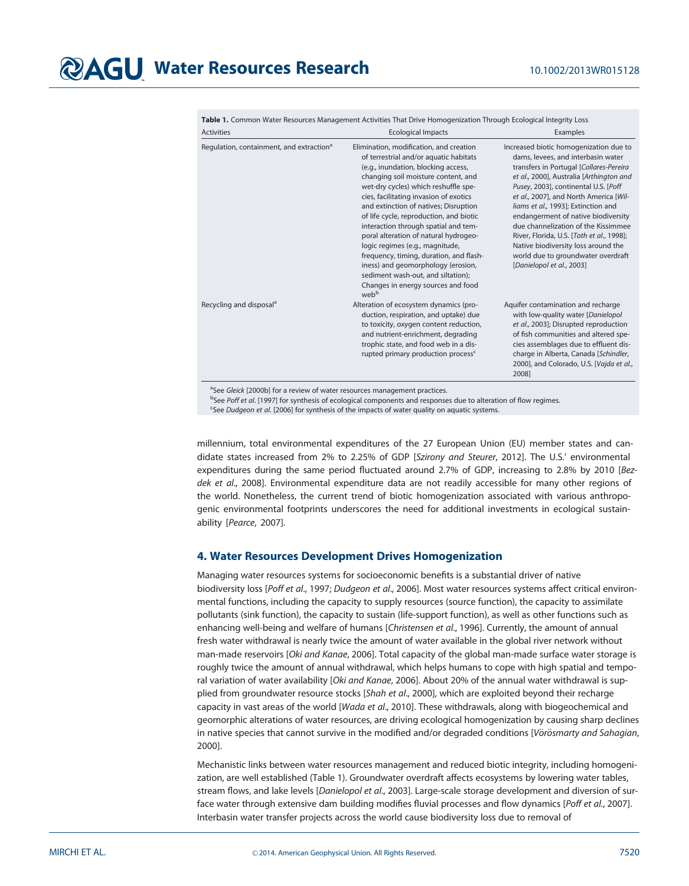Table 1. Common Water Resources Management Activities That Drive Homogenization Through Ecological Integrity Loss

| <b>Activities</b>                                    | <b>Ecological Impacts</b>                                                                                                                                                                                                                                                                                                                                                                                                                                                                                                                                                                                                                  | Examples                                                                                                                                                                                                                                                                                                                                                                                                                                                                                                                          |
|------------------------------------------------------|--------------------------------------------------------------------------------------------------------------------------------------------------------------------------------------------------------------------------------------------------------------------------------------------------------------------------------------------------------------------------------------------------------------------------------------------------------------------------------------------------------------------------------------------------------------------------------------------------------------------------------------------|-----------------------------------------------------------------------------------------------------------------------------------------------------------------------------------------------------------------------------------------------------------------------------------------------------------------------------------------------------------------------------------------------------------------------------------------------------------------------------------------------------------------------------------|
| Regulation, containment, and extraction <sup>a</sup> | Elimination, modification, and creation<br>of terrestrial and/or aquatic habitats<br>(e.g., inundation, blocking access,<br>changing soil moisture content, and<br>wet-dry cycles) which reshuffle spe-<br>cies, facilitating invasion of exotics<br>and extinction of natives; Disruption<br>of life cycle, reproduction, and biotic<br>interaction through spatial and tem-<br>poral alteration of natural hydrogeo-<br>logic regimes (e.g., magnitude,<br>frequency, timing, duration, and flash-<br>iness) and geomorphology (erosion,<br>sediment wash-out, and siltation);<br>Changes in energy sources and food<br>web <sup>b</sup> | Increased biotic homogenization due to<br>dams, levees, and interbasin water<br>transfers in Portugal [Collares-Pereira<br>et al., 2000], Australia [Arthington and<br>Pusey, 2003], continental U.S. [Poff<br>et al., 2007], and North America [Wil-<br>liams et al., 1993]; Extinction and<br>endangerment of native biodiversity<br>due channelization of the Kissimmee<br>River, Florida, U.S. [Toth et al., 1998];<br>Native biodiversity loss around the<br>world due to groundwater overdraft<br>[Danielopol et al., 2003] |
| Recycling and disposal <sup>a</sup>                  | Alteration of ecosystem dynamics (pro-<br>duction, respiration, and uptake) due<br>to toxicity, oxygen content reduction,<br>and nutrient-enrichment, degrading<br>trophic state, and food web in a dis-<br>rupted primary production process <sup>c</sup>                                                                                                                                                                                                                                                                                                                                                                                 | Aquifer contamination and recharge<br>with low-quality water [Danielopol<br>et al., 2003]; Disrupted reproduction<br>of fish communities and altered spe-<br>cies assemblages due to effluent dis-<br>charge in Alberta, Canada [Schindler,<br>2000], and Colorado, U.S. [Vajda et al.,<br>2008]                                                                                                                                                                                                                                  |

<sup>a</sup>See Gleick [2000b] for a review of water resources management practices.

<sup>b</sup>See Poff et al. [1997] for synthesis of ecological components and responses due to alteration of flow regimes.

<sup>c</sup>See Dudgeon et al. [2006] for synthesis of the impacts of water quality on aquatic systems.

millennium, total environmental expenditures of the 27 European Union (EU) member states and candidate states increased from 2% to 2.25% of GDP [Szirony and Steurer, 2012]. The U.S.' environmental expenditures during the same period fluctuated around 2.7% of GDP, increasing to 2.8% by 2010 [Bezdek et al., 2008]. Environmental expenditure data are not readily accessible for many other regions of the world. Nonetheless, the current trend of biotic homogenization associated with various anthropogenic environmental footprints underscores the need for additional investments in ecological sustainability [Pearce, 2007].

#### 4. Water Resources Development Drives Homogenization

Managing water resources systems for socioeconomic benefits is a substantial driver of native biodiversity loss [Poff et al., 1997; Dudgeon et al., 2006]. Most water resources systems affect critical environmental functions, including the capacity to supply resources (source function), the capacity to assimilate pollutants (sink function), the capacity to sustain (life-support function), as well as other functions such as enhancing well-being and welfare of humans [Christensen et al., 1996]. Currently, the amount of annual fresh water withdrawal is nearly twice the amount of water available in the global river network without man-made reservoirs [Oki and Kanae, 2006]. Total capacity of the global man-made surface water storage is roughly twice the amount of annual withdrawal, which helps humans to cope with high spatial and temporal variation of water availability [Oki and Kanae, 2006]. About 20% of the annual water withdrawal is supplied from groundwater resource stocks [Shah et al., 2000], which are exploited beyond their recharge capacity in vast areas of the world [Wada et al., 2010]. These withdrawals, along with biogeochemical and geomorphic alterations of water resources, are driving ecological homogenization by causing sharp declines in native species that cannot survive in the modified and/or degraded conditions [Vörösmarty and Sahagian, 2000].

Mechanistic links between water resources management and reduced biotic integrity, including homogenization, are well established (Table 1). Groundwater overdraft affects ecosystems by lowering water tables, stream flows, and lake levels [Danielopol et al., 2003]. Large-scale storage development and diversion of surface water through extensive dam building modifies fluvial processes and flow dynamics [Poff et al., 2007]. Interbasin water transfer projects across the world cause biodiversity loss due to removal of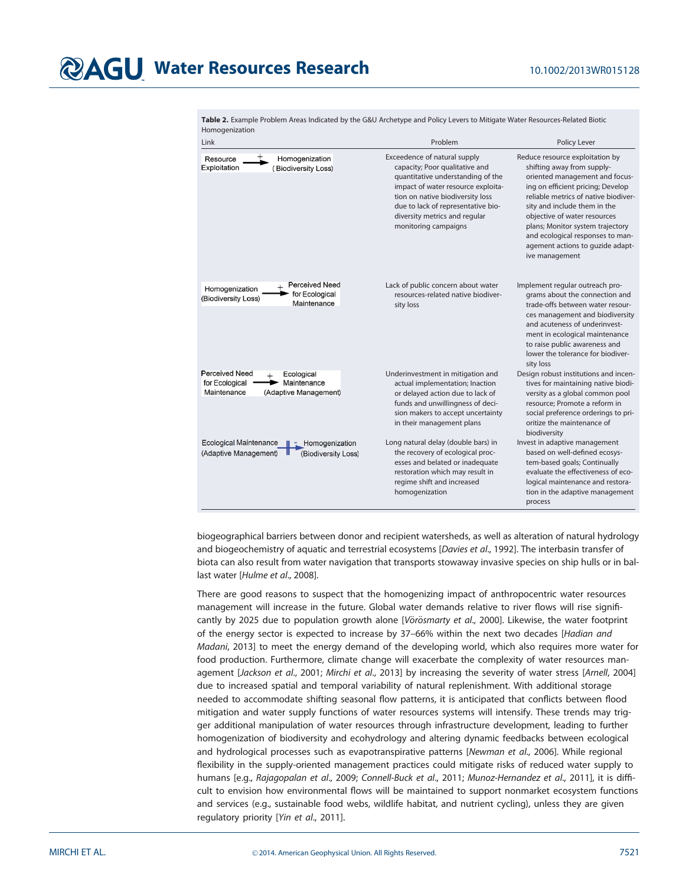## **@AGU Water Resources Research** 10.1002/2013WR015128

| Link                                                                                                         | Problem                                                                                                                                                                                                                                                                      | Policy Lever                                                                                                                                                                                                                                                                                                                                                               |
|--------------------------------------------------------------------------------------------------------------|------------------------------------------------------------------------------------------------------------------------------------------------------------------------------------------------------------------------------------------------------------------------------|----------------------------------------------------------------------------------------------------------------------------------------------------------------------------------------------------------------------------------------------------------------------------------------------------------------------------------------------------------------------------|
| Homogenization<br>Resource<br>Exploitation<br>(Biodiversity Loss)                                            | Exceedence of natural supply<br>capacity; Poor qualitative and<br>quantitative understanding of the<br>impact of water resource exploita-<br>tion on native biodiversity loss<br>due to lack of representative bio-<br>diversity metrics and regular<br>monitoring campaigns | Reduce resource exploitation by<br>shifting away from supply-<br>oriented management and focus-<br>ing on efficient pricing; Develop<br>reliable metrics of native biodiver-<br>sity and include them in the<br>objective of water resources<br>plans; Monitor system trajectory<br>and ecological responses to man-<br>agement actions to guzide adapt-<br>ive management |
| <b>Perceived Need</b><br>Homogenization<br>for Ecological<br>(Biodiversity Loss)<br>Maintenance              | Lack of public concern about water<br>resources-related native biodiver-<br>sity loss                                                                                                                                                                                        | Implement regular outreach pro-<br>grams about the connection and<br>trade-offs between water resour-<br>ces management and biodiversity<br>and acuteness of underinvest-<br>ment in ecological maintenance<br>to raise public awareness and<br>lower the tolerance for biodiver-<br>sity loss                                                                             |
| <b>Perceived Need</b><br>Ecological<br>Maintenance<br>for Ecological<br>Maintenance<br>(Adaptive Management) | Underinvestment in mitigation and<br>actual implementation; Inaction<br>or delayed action due to lack of<br>funds and unwillingness of deci-<br>sion makers to accept uncertainty<br>in their management plans                                                               | Design robust institutions and incen-<br>tives for maintaining native biodi-<br>versity as a global common pool<br>resource; Promote a reform in<br>social preference orderings to pri-<br>oritize the maintenance of<br>biodiversity                                                                                                                                      |
| <b>Ecological Maintenance</b><br>Homogenization<br>(Adaptive Management)<br>(Biodiversity Loss)              | Long natural delay (double bars) in<br>the recovery of ecological proc-<br>esses and belated or inadequate<br>restoration which may result in<br>regime shift and increased<br>homogenization                                                                                | Invest in adaptive management<br>based on well-defined ecosys-<br>tem-based goals; Continually<br>evaluate the effectiveness of eco-<br>logical maintenance and restora-<br>tion in the adaptive management<br>process                                                                                                                                                     |

Table 2. Example Problem Areas Indicated by the G&U Archetype and Policy Levers to Mitigate Water Resources-Related Biotic Homogenization

biogeographical barriers between donor and recipient watersheds, as well as alteration of natural hydrology and biogeochemistry of aquatic and terrestrial ecosystems [Davies et al., 1992]. The interbasin transfer of biota can also result from water navigation that transports stowaway invasive species on ship hulls or in ballast water [Hulme et al., 2008].

There are good reasons to suspect that the homogenizing impact of anthropocentric water resources management will increase in the future. Global water demands relative to river flows will rise significantly by 2025 due to population growth alone [Vörösmarty et al., 2000]. Likewise, the water footprint of the energy sector is expected to increase by 37–66% within the next two decades [Hadian and Madani, 2013] to meet the energy demand of the developing world, which also requires more water for food production. Furthermore, climate change will exacerbate the complexity of water resources management [Jackson et al., 2001; Mirchi et al., 2013] by increasing the severity of water stress [Arnell, 2004] due to increased spatial and temporal variability of natural replenishment. With additional storage needed to accommodate shifting seasonal flow patterns, it is anticipated that conflicts between flood mitigation and water supply functions of water resources systems will intensify. These trends may trigger additional manipulation of water resources through infrastructure development, leading to further homogenization of biodiversity and ecohydrology and altering dynamic feedbacks between ecological and hydrological processes such as evapotranspirative patterns [Newman et al., 2006]. While regional flexibility in the supply-oriented management practices could mitigate risks of reduced water supply to humans [e.g., Rajagopalan et al., 2009; Connell-Buck et al., 2011; Munoz-Hernandez et al., 2011], it is difficult to envision how environmental flows will be maintained to support nonmarket ecosystem functions and services (e.g., sustainable food webs, wildlife habitat, and nutrient cycling), unless they are given regulatory priority [Yin et al., 2011].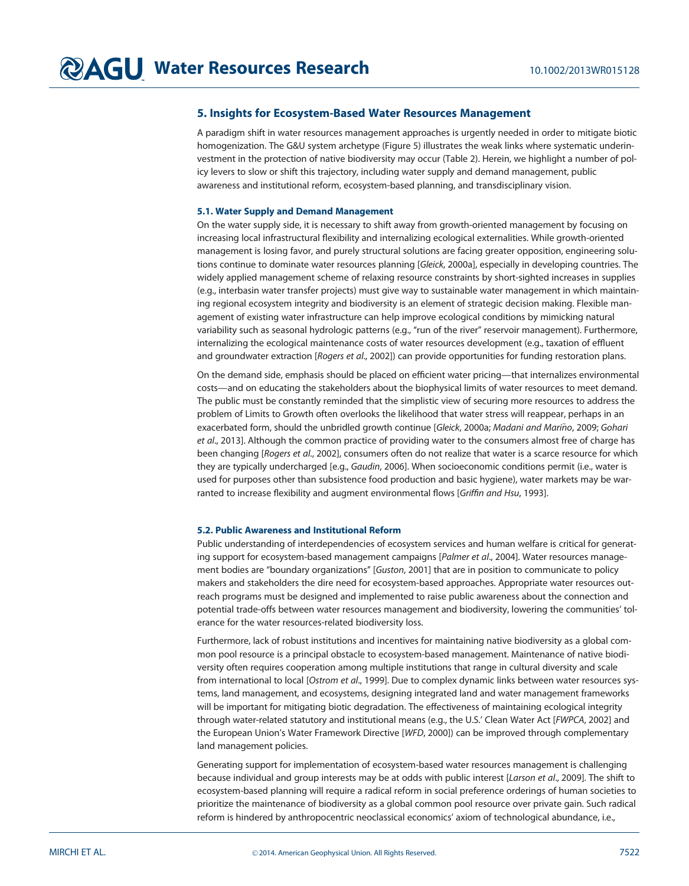#### 5. Insights for Ecosystem-Based Water Resources Management

A paradigm shift in water resources management approaches is urgently needed in order to mitigate biotic homogenization. The G&U system archetype (Figure 5) illustrates the weak links where systematic underinvestment in the protection of native biodiversity may occur (Table 2). Herein, we highlight a number of policy levers to slow or shift this trajectory, including water supply and demand management, public awareness and institutional reform, ecosystem-based planning, and transdisciplinary vision.

#### 5.1. Water Supply and Demand Management

On the water supply side, it is necessary to shift away from growth-oriented management by focusing on increasing local infrastructural flexibility and internalizing ecological externalities. While growth-oriented management is losing favor, and purely structural solutions are facing greater opposition, engineering solutions continue to dominate water resources planning [Gleick, 2000a], especially in developing countries. The widely applied management scheme of relaxing resource constraints by short-sighted increases in supplies (e.g., interbasin water transfer projects) must give way to sustainable water management in which maintaining regional ecosystem integrity and biodiversity is an element of strategic decision making. Flexible management of existing water infrastructure can help improve ecological conditions by mimicking natural variability such as seasonal hydrologic patterns (e.g., "run of the river" reservoir management). Furthermore, internalizing the ecological maintenance costs of water resources development (e.g., taxation of effluent and groundwater extraction [Rogers et al., 2002]) can provide opportunities for funding restoration plans.

On the demand side, emphasis should be placed on efficient water pricing—that internalizes environmental costs—and on educating the stakeholders about the biophysical limits of water resources to meet demand. The public must be constantly reminded that the simplistic view of securing more resources to address the problem of Limits to Growth often overlooks the likelihood that water stress will reappear, perhaps in an exacerbated form, should the unbridled growth continue [Gleick, 2000a; Madani and Mariño, 2009; Gohari et al., 2013]. Although the common practice of providing water to the consumers almost free of charge has been changing [Rogers et al., 2002], consumers often do not realize that water is a scarce resource for which they are typically undercharged [e.g., *Gaudin*, 2006]. When socioeconomic conditions permit (i.e., water is used for purposes other than subsistence food production and basic hygiene), water markets may be warranted to increase flexibility and augment environmental flows [Griffin and Hsu, 1993].

#### 5.2. Public Awareness and Institutional Reform

Public understanding of interdependencies of ecosystem services and human welfare is critical for generating support for ecosystem-based management campaigns [Palmer et al., 2004]. Water resources management bodies are "boundary organizations" [Guston, 2001] that are in position to communicate to policy makers and stakeholders the dire need for ecosystem-based approaches. Appropriate water resources outreach programs must be designed and implemented to raise public awareness about the connection and potential trade-offs between water resources management and biodiversity, lowering the communities' tolerance for the water resources-related biodiversity loss.

Furthermore, lack of robust institutions and incentives for maintaining native biodiversity as a global common pool resource is a principal obstacle to ecosystem-based management. Maintenance of native biodiversity often requires cooperation among multiple institutions that range in cultural diversity and scale from international to local [Ostrom et al., 1999]. Due to complex dynamic links between water resources systems, land management, and ecosystems, designing integrated land and water management frameworks will be important for mitigating biotic degradation. The effectiveness of maintaining ecological integrity through water-related statutory and institutional means (e.g., the U.S.' Clean Water Act [FWPCA, 2002] and the European Union's Water Framework Directive [WFD, 2000]) can be improved through complementary land management policies.

Generating support for implementation of ecosystem-based water resources management is challenging because individual and group interests may be at odds with public interest [Larson et al., 2009]. The shift to ecosystem-based planning will require a radical reform in social preference orderings of human societies to prioritize the maintenance of biodiversity as a global common pool resource over private gain. Such radical reform is hindered by anthropocentric neoclassical economics' axiom of technological abundance, i.e.,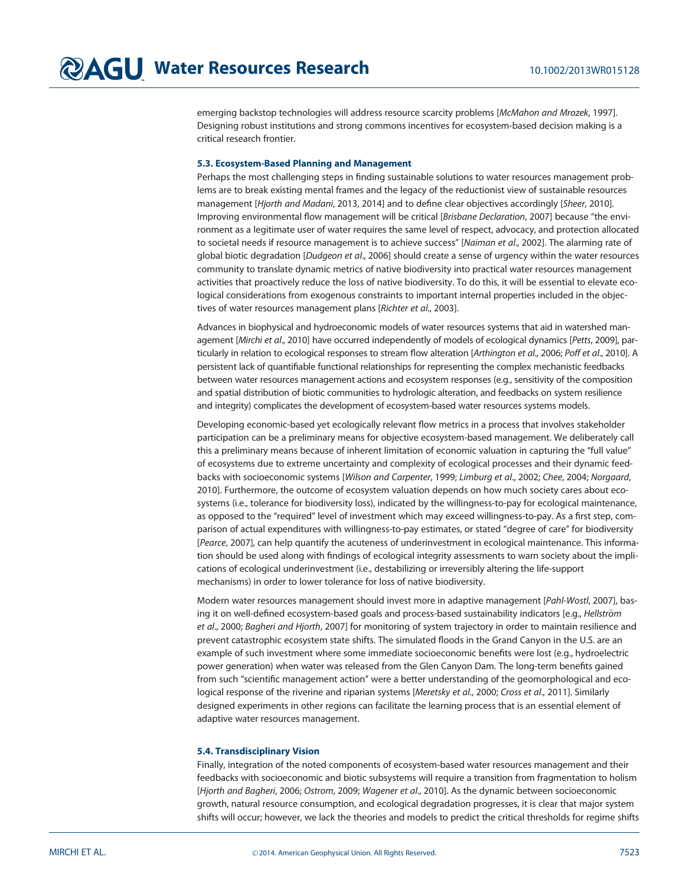emerging backstop technologies will address resource scarcity problems [McMahon and Mrozek, 1997]. Designing robust institutions and strong commons incentives for ecosystem-based decision making is a critical research frontier.

#### 5.3. Ecosystem-Based Planning and Management

Perhaps the most challenging steps in finding sustainable solutions to water resources management problems are to break existing mental frames and the legacy of the reductionist view of sustainable resources management [Hjorth and Madani, 2013, 2014] and to define clear objectives accordingly [Sheer, 2010]. Improving environmental flow management will be critical [Brisbane Declaration, 2007] because "the environment as a legitimate user of water requires the same level of respect, advocacy, and protection allocated to societal needs if resource management is to achieve success" [Naiman et al., 2002]. The alarming rate of global biotic degradation [Dudgeon et al., 2006] should create a sense of urgency within the water resources community to translate dynamic metrics of native biodiversity into practical water resources management activities that proactively reduce the loss of native biodiversity. To do this, it will be essential to elevate ecological considerations from exogenous constraints to important internal properties included in the objectives of water resources management plans [Richter et al., 2003].

Advances in biophysical and hydroeconomic models of water resources systems that aid in watershed management [Mirchi et al., 2010] have occurred independently of models of ecological dynamics [Petts, 2009], particularly in relation to ecological responses to stream flow alteration [Arthington et al., 2006; Poff et al., 2010]. A persistent lack of quantifiable functional relationships for representing the complex mechanistic feedbacks between water resources management actions and ecosystem responses (e.g., sensitivity of the composition and spatial distribution of biotic communities to hydrologic alteration, and feedbacks on system resilience and integrity) complicates the development of ecosystem-based water resources systems models.

Developing economic-based yet ecologically relevant flow metrics in a process that involves stakeholder participation can be a preliminary means for objective ecosystem-based management. We deliberately call this a preliminary means because of inherent limitation of economic valuation in capturing the ''full value'' of ecosystems due to extreme uncertainty and complexity of ecological processes and their dynamic feedbacks with socioeconomic systems [Wilson and Carpenter, 1999; Limburg et al., 2002; Chee, 2004; Norgaard, 2010]. Furthermore, the outcome of ecosystem valuation depends on how much society cares about ecosystems (i.e., tolerance for biodiversity loss), indicated by the willingness-to-pay for ecological maintenance, as opposed to the ''required'' level of investment which may exceed willingness-to-pay. As a first step, comparison of actual expenditures with willingness-to-pay estimates, or stated ''degree of care'' for biodiversity [Pearce, 2007], can help quantify the acuteness of underinvestment in ecological maintenance. This information should be used along with findings of ecological integrity assessments to warn society about the implications of ecological underinvestment (i.e., destabilizing or irreversibly altering the life-support mechanisms) in order to lower tolerance for loss of native biodiversity.

Modern water resources management should invest more in adaptive management [Pahl-Wostl, 2007], basing it on well-defined ecosystem-based goals and process-based sustainability indicators [e.g., Hellström et al., 2000; Bagheri and Hjorth, 2007] for monitoring of system trajectory in order to maintain resilience and prevent catastrophic ecosystem state shifts. The simulated floods in the Grand Canyon in the U.S. are an example of such investment where some immediate socioeconomic benefits were lost (e.g., hydroelectric power generation) when water was released from the Glen Canyon Dam. The long-term benefits gained from such "scientific management action" were a better understanding of the geomorphological and ecological response of the riverine and riparian systems [Meretsky et al., 2000; Cross et al., 2011]. Similarly designed experiments in other regions can facilitate the learning process that is an essential element of adaptive water resources management.

#### 5.4. Transdisciplinary Vision

Finally, integration of the noted components of ecosystem-based water resources management and their feedbacks with socioeconomic and biotic subsystems will require a transition from fragmentation to holism [Hjorth and Bagheri, 2006; Ostrom, 2009; Wagener et al., 2010]. As the dynamic between socioeconomic growth, natural resource consumption, and ecological degradation progresses, it is clear that major system shifts will occur; however, we lack the theories and models to predict the critical thresholds for regime shifts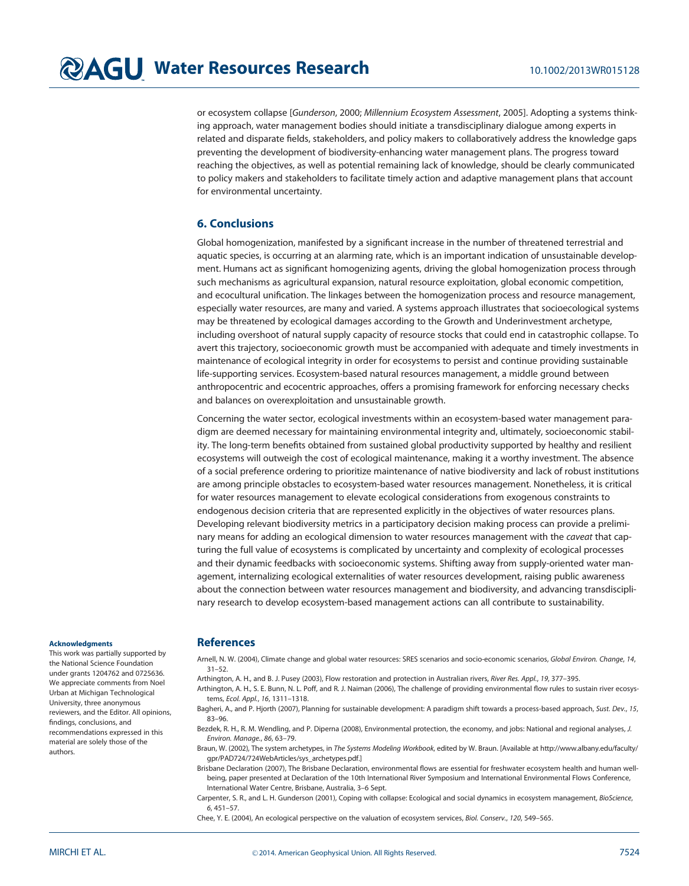or ecosystem collapse [Gunderson, 2000; Millennium Ecosystem Assessment, 2005]. Adopting a systems thinking approach, water management bodies should initiate a transdisciplinary dialogue among experts in related and disparate fields, stakeholders, and policy makers to collaboratively address the knowledge gaps preventing the development of biodiversity-enhancing water management plans. The progress toward reaching the objectives, as well as potential remaining lack of knowledge, should be clearly communicated to policy makers and stakeholders to facilitate timely action and adaptive management plans that account for environmental uncertainty.

#### 6. Conclusions

Global homogenization, manifested by a significant increase in the number of threatened terrestrial and aquatic species, is occurring at an alarming rate, which is an important indication of unsustainable development. Humans act as significant homogenizing agents, driving the global homogenization process through such mechanisms as agricultural expansion, natural resource exploitation, global economic competition, and ecocultural unification. The linkages between the homogenization process and resource management, especially water resources, are many and varied. A systems approach illustrates that socioecological systems may be threatened by ecological damages according to the Growth and Underinvestment archetype, including overshoot of natural supply capacity of resource stocks that could end in catastrophic collapse. To avert this trajectory, socioeconomic growth must be accompanied with adequate and timely investments in maintenance of ecological integrity in order for ecosystems to persist and continue providing sustainable life-supporting services. Ecosystem-based natural resources management, a middle ground between anthropocentric and ecocentric approaches, offers a promising framework for enforcing necessary checks and balances on overexploitation and unsustainable growth.

Concerning the water sector, ecological investments within an ecosystem-based water management paradigm are deemed necessary for maintaining environmental integrity and, ultimately, socioeconomic stability. The long-term benefits obtained from sustained global productivity supported by healthy and resilient ecosystems will outweigh the cost of ecological maintenance, making it a worthy investment. The absence of a social preference ordering to prioritize maintenance of native biodiversity and lack of robust institutions are among principle obstacles to ecosystem-based water resources management. Nonetheless, it is critical for water resources management to elevate ecological considerations from exogenous constraints to endogenous decision criteria that are represented explicitly in the objectives of water resources plans. Developing relevant biodiversity metrics in a participatory decision making process can provide a preliminary means for adding an ecological dimension to water resources management with the caveat that capturing the full value of ecosystems is complicated by uncertainty and complexity of ecological processes and their dynamic feedbacks with socioeconomic systems. Shifting away from supply-oriented water management, internalizing ecological externalities of water resources development, raising public awareness about the connection between water resources management and biodiversity, and advancing transdisciplinary research to develop ecosystem-based management actions can all contribute to sustainability.

#### Acknowledgments

This work was partially supported by the National Science Foundation under grants 1204762 and 0725636. We appreciate comments from Noel Urban at Michigan Technological University, three anonymous reviewers, and the Editor. All opinions, findings, conclusions, and recommendations expressed in this material are solely those of the authors.

#### References

Arnell, N. W. (2004), Climate change and global water resources: SRES scenarios and socio-economic scenarios, Global Environ. Change, 14, 31–52.

Arthington, A. H., and B. J. Pusey (2003), Flow restoration and protection in Australian rivers, River Res. Appl., 19, 377-395.

Arthington, A. H., S. E. Bunn, N. L. Poff, and R. J. Naiman (2006), The challenge of providing environmental flow rules to sustain river ecosystems, Ecol. Appl., 16, 1311–1318.

Bagheri, A., and P. Hjorth (2007), Planning for sustainable development: A paradigm shift towards a process-based approach, Sust. Dev., 15, 83–96.

Bezdek, R. H., R. M. Wendling, and P. Diperna (2008), Environmental protection, the economy, and jobs: National and regional analyses, J. Environ. Manage., 86, 63–79.

Braun, W. (2002), The system archetypes, in The Systems Modeling Workbook, edited by W. Braun. [Available at [http://www.albany.edu/faculty/](info:http://www.albany.edu/faculty/gpr/PAD724/724WebArticles/sys_archetypes.pdf) [gpr/PAD724/724WebArticles/sys\\_archetypes.pdf.](info:http://www.albany.edu/faculty/gpr/PAD724/724WebArticles/sys_archetypes.pdf)]

Brisbane Declaration (2007), The Brisbane Declaration, environmental flows are essential for freshwater ecosystem health and human wellbeing, paper presented at Declaration of the 10th International River Symposium and International Environmental Flows Conference, International Water Centre, Brisbane, Australia, 3–6 Sept.

Carpenter, S. R., and L. H. Gunderson (2001), Coping with collapse: Ecological and social dynamics in ecosystem management, BioScience, 6, 451–57.

Chee, Y. E. (2004), An ecological perspective on the valuation of ecosystem services, Biol. Conserv., 120, 549–565.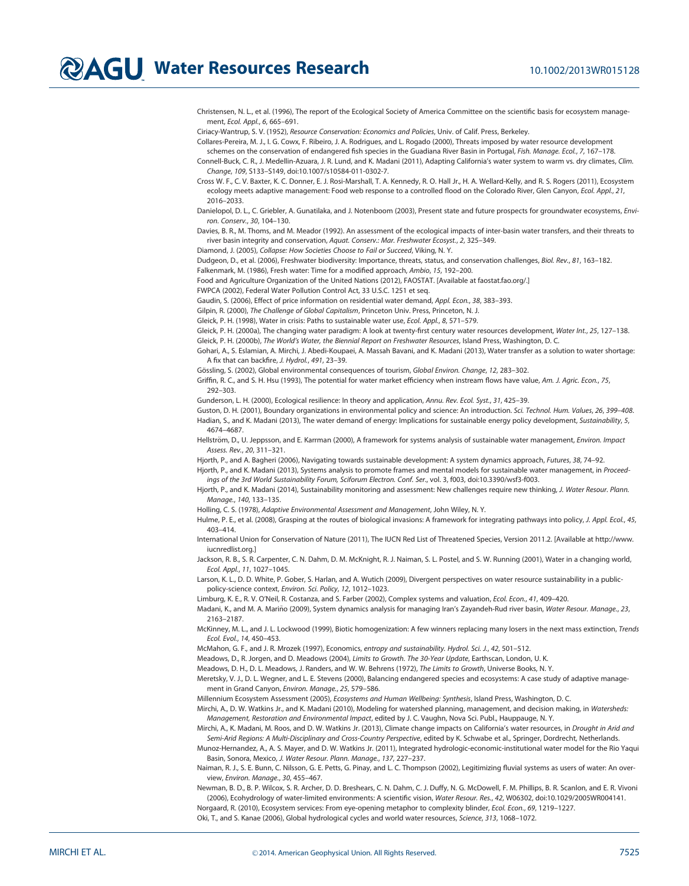Christensen, N. L., et al. (1996), The report of the Ecological Society of America Committee on the scientific basis for ecosystem management, Ecol. Appl., 6, 665–691.

Ciriacy-Wantrup, S. V. (1952), Resource Conservation: Economics and Policies, Univ. of Calif. Press, Berkeley.

Collares-Pereira, M. J., I. G. Cowx, F. Ribeiro, J. A. Rodrigues, and L. Rogado (2000), Threats imposed by water resource development

schemes on the conservation of endangered fish species in the Guadiana River Basin in Portugal, Fish. Manage. Ecol., 7, 167-178. Connell-Buck, C. R., J. Medellin-Azuara, J. R. Lund, and K. Madani (2011), Adapting California's water system to warm vs. dry climates, Clim.

Change, 109, S133–S149, doi[:10.1007/s10584-011-0302-7](http://dx.doi.org/10.1007/s10584-011-0302-7).

Cross W. F., C. V. Baxter, K. C. Donner, E. J. Rosi-Marshall, T. A. Kennedy, R. O. Hall Jr., H. A. Wellard-Kelly, and R. S. Rogers (2011), Ecosystem ecology meets adaptive management: Food web response to a controlled flood on the Colorado River, Glen Canyon, Ecol. Appl., 21, 2016–2033.

Danielopol, D. L., C. Griebler, A. Gunatilaka, and J. Notenboom (2003), Present state and future prospects for groundwater ecosystems, Environ. Conserv., 30, 104–130.

Davies, B. R., M. Thoms, and M. Meador (1992). An assessment of the ecological impacts of inter-basin water transfers, and their threats to river basin integrity and conservation, Aquat. Conserv.: Mar. Freshwater Ecosyst., 2, 325–349.

Diamond, J. (2005), Collapse: How Societies Choose to Fail or Succeed, Viking, N. Y.

Dudgeon, D., et al. (2006), Freshwater biodiversity: Importance, threats, status, and conservation challenges, Biol. Rev., 81, 163–182.

Falkenmark, M. (1986), Fresh water: Time for a modified approach, Ambio, 15, 192–200. Food and Agriculture Organization of the United Nations (2012), FAOSTAT. [Available at [faostat.fao.org/](http://faostat.fao.org/).]

FWPCA (2002), Federal Water Pollution Control Act, 33 U.S.C. 1251 et seq.

Gaudin, S. (2006), Effect of price information on residential water demand, Appl. Econ., 38, 383-393.

Gilpin, R. (2000), The Challenge of Global Capitalism, Princeton Univ. Press, Princeton, N. J.

Gleick, P. H. (1998), Water in crisis: Paths to sustainable water use, Ecol. Appl., 8, 571–579.

Gleick, P. H. (2000a), The changing water paradigm: A look at twenty-first century water resources development, Water Int., 25, 127-138.

Gleick, P. H. (2000b), The World's Water, the Biennial Report on Freshwater Resources, Island Press, Washington, D. C.

Gohari, A., S. Eslamian, A. Mirchi, J. Abedi-Koupaei, A. Massah Bavani, and K. Madani (2013), Water transfer as a solution to water shortage: A fix that can backfire, J. Hydrol., 491, 23–39.

Gössling, S. (2002), Global environmental consequences of tourism, Global Environ. Change, 12, 283-302.

Griffin, R. C., and S. H. Hsu (1993), The potential for water market efficiency when instream flows have value, Am. J. Agric. Econ., 75, 292–303.

Gunderson, L. H. (2000), Ecological resilience: In theory and application, Annu. Rev. Ecol. Syst., 31, 425-39.

Guston, D. H. (2001), Boundary organizations in environmental policy and science: An introduction. Sci. Technol. Hum. Values, 26, 399-408. Hadian, S., and K. Madani (2013), The water demand of energy: Implications for sustainable energy policy development, Sustainability, 5, 4674–4687.

Hellström, D., U. Jeppsson, and E. Karrman (2000), A framework for systems analysis of sustainable water management, Environ. Impact Assess. Rev., 20, 311–321.

Hjorth, P., and A. Bagheri (2006), Navigating towards sustainable development: A system dynamics approach, Futures, 38, 74-92. Hjorth, P., and K. Madani (2013), Systems analysis to promote frames and mental models for sustainable water management, in Proceed-

ings of the 3rd World Sustainability Forum, Sciforum Electron. Conf. Ser., vol. 3, f003, doi[:10.3390/wsf3-f003.](http://dx.doi.org/10.3390/wsf3-f003)

Hjorth, P., and K. Madani (2014), Sustainability monitoring and assessment: New challenges require new thinking, J. Water Resour. Plann. Manage., 140, 133–135.

Holling, C. S. (1978), Adaptive Environmental Assessment and Management, John Wiley, N. Y.

Hulme, P. E., et al. (2008), Grasping at the routes of biological invasions: A framework for integrating pathways into policy, J. Appl. Ecol., 45, 403–414.

International Union for Conservation of Nature (2011), The IUCN Red List of Threatened Species, Version 2011.2. [Available at [http://www.](http://www.iucnredlist.org) [iucnredlist.org.](http://www.iucnredlist.org)]

Jackson, R. B., S. R. Carpenter, C. N. Dahm, D. M. McKnight, R. J. Naiman, S. L. Postel, and S. W. Running (2001), Water in a changing world, Ecol. Appl., 11, 1027–1045.

Larson, K. L., D. D. White, P. Gober, S. Harlan, and A. Wutich (2009), Divergent perspectives on water resource sustainability in a publicpolicy-science context, Environ. Sci. Policy, 12, 1012–1023.

Limburg, K. E., R. V. O'Neil, R. Costanza, and S. Farber (2002), Complex systems and valuation, Ecol. Econ., 41, 409-420.

Madani, K., and M. A. Mariño (2009), System dynamics analysis for managing Iran's Zayandeh-Rud river basin, Water Resour. Manage., 23, 2163–2187.

McKinney, M. L., and J. L. Lockwood (1999), Biotic homogenization: A few winners replacing many losers in the next mass extinction, Trends Ecol. Evol., 14, 450–453.

McMahon, G. F., and J. R. Mrozek (1997), Economics, entropy and sustainability. Hydrol. Sci. J., 42, 501–512.

Meadows, D., R. Jorgen, and D. Meadows (2004), Limits to Growth. The 30-Year Update, Earthscan, London, U. K.

Meadows, D. H., D. L. Meadows, J. Randers, and W. W. Behrens (1972), The Limits to Growth, Universe Books, N. Y.

Meretsky, V. J., D. L. Wegner, and L. E. Stevens (2000), Balancing endangered species and ecosystems: A case study of adaptive management in Grand Canyon, Environ. Manage., 25, 579–586.

Millennium Ecosystem Assessment (2005), Ecosystems and Human Wellbeing: Synthesis, Island Press, Washington, D. C.

Mirchi, A., D. W. Watkins Jr., and K. Madani (2010), Modeling for watershed planning, management, and decision making, in Watersheds: Management, Restoration and Environmental Impact, edited by J. C. Vaughn, Nova Sci. Publ., Hauppauge, N. Y.

Mirchi, A., K. Madani, M. Roos, and D. W. Watkins Jr. (2013), Climate change impacts on California's water resources, in Drought in Arid and Semi-Arid Regions: A Multi-Disciplinary and Cross-Country Perspective, edited by K. Schwabe et al., Springer, Dordrecht, Netherlands.

Munoz-Hernandez, A., A. S. Mayer, and D. W. Watkins Jr. (2011), Integrated hydrologic-economic-institutional water model for the Rio Yaqui Basin, Sonora, Mexico, J. Water Resour. Plann. Manage., 137, 227–237.

Naiman, R. J., S. E. Bunn, C. Nilsson, G. E. Petts, G. Pinay, and L. C. Thompson (2002), Legitimizing fluvial systems as users of water: An overview, Environ. Manage., 30, 455–467.

Newman, B. D., B. P. Wilcox, S. R. Archer, D. D. Breshears, C. N. Dahm, C. J. Duffy, N. G. McDowell, F. M. Phillips, B. R. Scanlon, and E. R. Vivoni (2006), Ecohydrology of water-limited environments: A scientific vision, Water Resour. Res., 42, W06302, doi[:10.1029/2005WR004141.](http://dx.doi.org/10.1029/2005WR004141)

Norgaard, R. (2010), Ecosystem services: From eye-opening metaphor to complexity blinder, Ecol. Econ., 69, 1219-1227. Oki, T., and S. Kanae (2006), Global hydrological cycles and world water resources, Science, 313, 1068–1072.